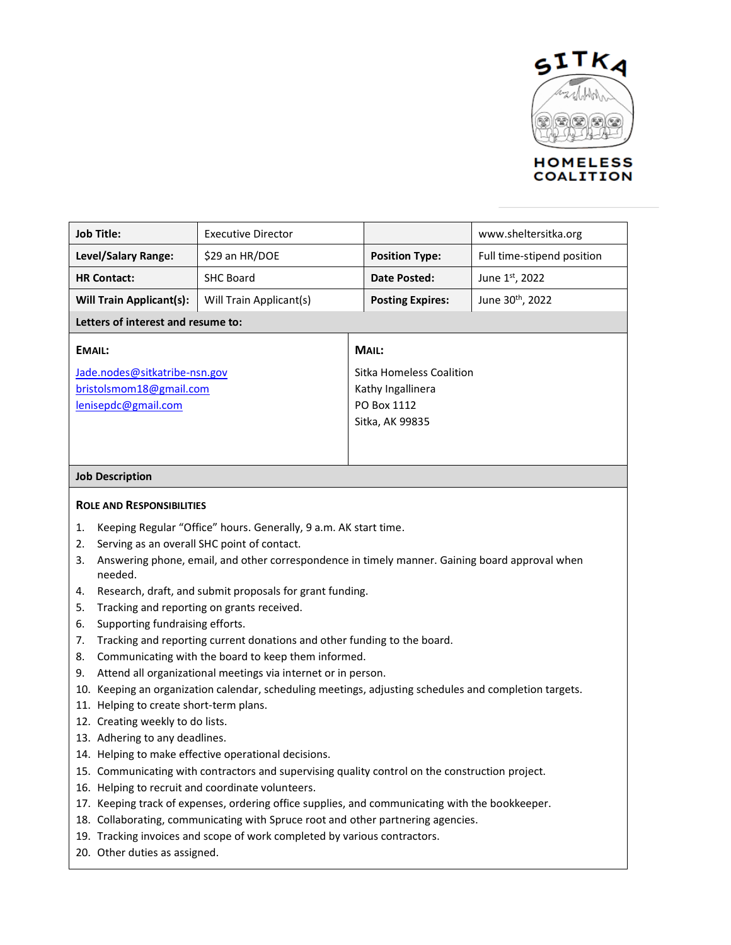

## **Job Title:** Executive Director www.sheltersitka.org **Level/Salary Range:**  $\begin{vmatrix} 529 \\ 201 \\ 101 \end{vmatrix}$  **Position Type:** Full time-stipend position **HR Contact:** SHC Board **Date Posted:** June 1st, 2022 **Will Train Applicant(s):** Will Train Applicant(s) **Posting Expires:** June 30<sup>th</sup>, 2022 **Letters of interest and resume to: EMAIL:** [Jade.nodes@sitkatribe-nsn.gov](mailto:Jade.nodes@sitkatribe-nsn.gov) [bristolsmom18@gmail.com](mailto:bristolsmom18@gmail.com) [lenisepdc@gmail.com](mailto:lenisepdc@gmail.com) **MAIL:** Sitka Homeless Coalition Kathy Ingallinera PO Box 1112 Sitka, AK 99835

### **Job Description**

### **ROLE AND RESPONSIBILITIES**

- 1. Keeping Regular "Office" hours. Generally, 9 a.m. AK start time.
- 2. Serving as an overall SHC point of contact.
- 3. Answering phone, email, and other correspondence in timely manner. Gaining board approval when needed.
- 4. Research, draft, and submit proposals for grant funding.
- 5. Tracking and reporting on grants received.
- 6. Supporting fundraising efforts.
- 7. Tracking and reporting current donations and other funding to the board.
- 8. Communicating with the board to keep them informed.
- 9. Attend all organizational meetings via internet or in person.
- 10. Keeping an organization calendar, scheduling meetings, adjusting schedules and completion targets.
- 11. Helping to create short-term plans.
- 12. Creating weekly to do lists.
- 13. Adhering to any deadlines.
- 14. Helping to make effective operational decisions.
- 15. Communicating with contractors and supervising quality control on the construction project.
- 16. Helping to recruit and coordinate volunteers.
- 17. Keeping track of expenses, ordering office supplies, and communicating with the bookkeeper.
- 18. Collaborating, communicating with Spruce root and other partnering agencies.
- 19. Tracking invoices and scope of work completed by various contractors.
- 20. Other duties as assigned.